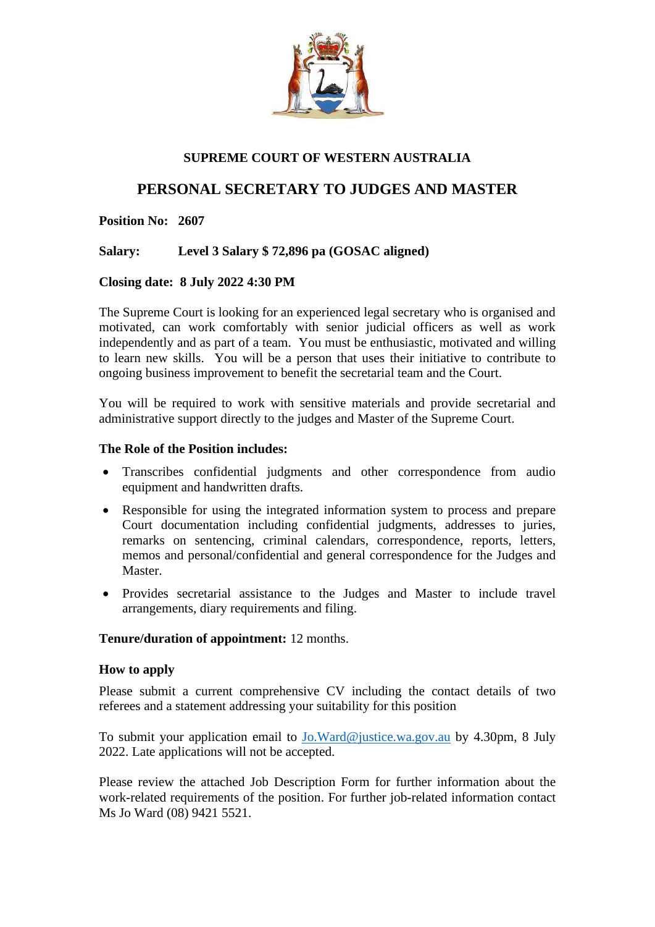

# **SUPREME COURT OF WESTERN AUSTRALIA**

# **PERSONAL SECRETARY TO JUDGES AND MASTER**

**Position No: 2607**

**Salary: Level 3 Salary \$ 72,896 pa (GOSAC aligned)**

## **Closing date: 8 July 2022 4:30 PM**

The Supreme Court is looking for an experienced legal secretary who is organised and motivated, can work comfortably with senior judicial officers as well as work independently and as part of a team. You must be enthusiastic, motivated and willing to learn new skills. You will be a person that uses their initiative to contribute to ongoing business improvement to benefit the secretarial team and the Court.

You will be required to work with sensitive materials and provide secretarial and administrative support directly to the judges and Master of the Supreme Court.

## **The Role of the Position includes:**

- Transcribes confidential judgments and other correspondence from audio equipment and handwritten drafts.
- Responsible for using the integrated information system to process and prepare Court documentation including confidential judgments, addresses to juries, remarks on sentencing, criminal calendars, correspondence, reports, letters, memos and personal/confidential and general correspondence for the Judges and Master.
- Provides secretarial assistance to the Judges and Master to include travel arrangements, diary requirements and filing.

# **Tenure/duration of appointment:** 12 months.

#### **How to apply**

Please submit a current comprehensive CV including the contact details of two referees and a statement addressing your suitability for this position

To submit your application email to [Jo.Ward@justice.wa.gov.au](mailto:Jo.Ward@justice.wa.gov.au) by 4.30pm, 8 July 2022. Late applications will not be accepted.

Please review the attached Job Description Form for further information about the work-related requirements of the position. For further job-related information contact Ms Jo Ward (08) 9421 5521.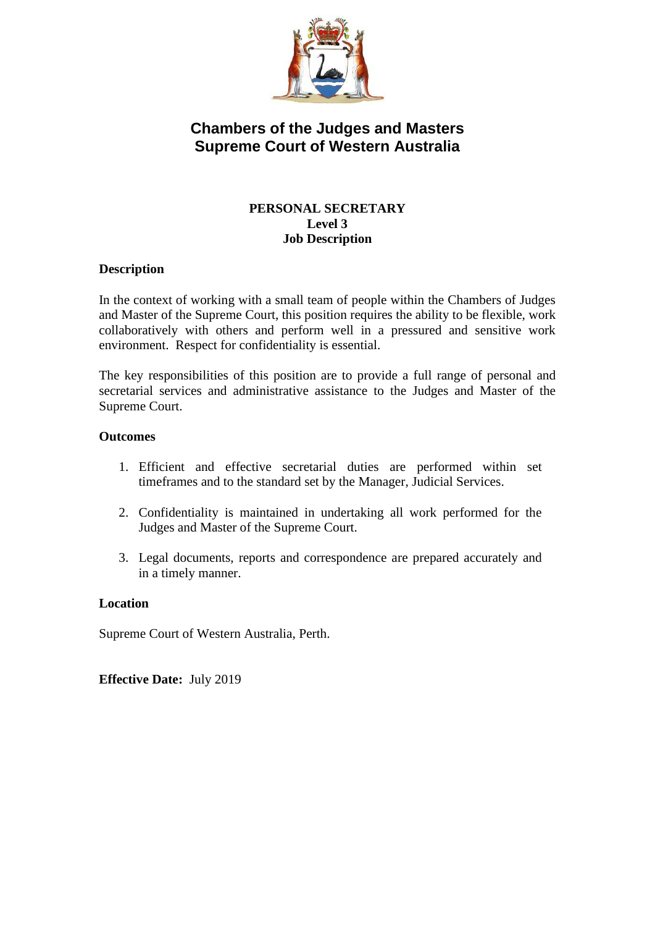

# **Chambers of the Judges and Masters Supreme Court of Western Australia**

# **PERSONAL SECRETARY Level 3 Job Description**

# **Description**

In the context of working with a small team of people within the Chambers of Judges and Master of the Supreme Court, this position requires the ability to be flexible, work collaboratively with others and perform well in a pressured and sensitive work environment. Respect for confidentiality is essential.

The key responsibilities of this position are to provide a full range of personal and secretarial services and administrative assistance to the Judges and Master of the Supreme Court.

#### **Outcomes**

- 1. Efficient and effective secretarial duties are performed within set timeframes and to the standard set by the Manager, Judicial Services.
- 2. Confidentiality is maintained in undertaking all work performed for the Judges and Master of the Supreme Court.
- 3. Legal documents, reports and correspondence are prepared accurately and in a timely manner.

#### **Location**

Supreme Court of Western Australia, Perth.

**Effective Date:** July 2019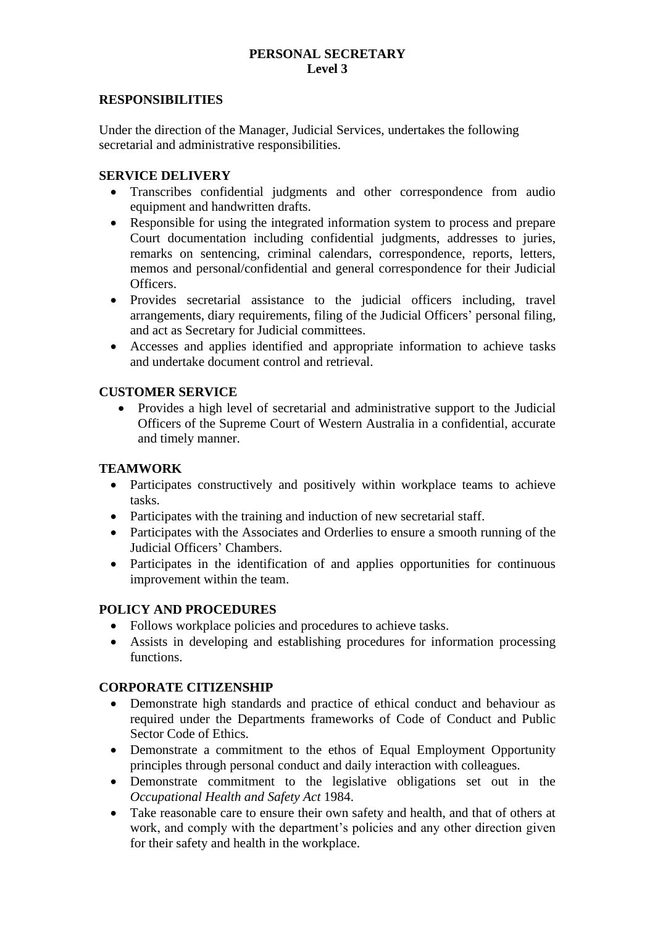# **PERSONAL SECRETARY Level 3**

#### **RESPONSIBILITIES**

Under the direction of the Manager, Judicial Services, undertakes the following secretarial and administrative responsibilities.

#### **SERVICE DELIVERY**

- Transcribes confidential judgments and other correspondence from audio equipment and handwritten drafts.
- Responsible for using the integrated information system to process and prepare Court documentation including confidential judgments, addresses to juries, remarks on sentencing, criminal calendars, correspondence, reports, letters, memos and personal/confidential and general correspondence for their Judicial Officers.
- Provides secretarial assistance to the judicial officers including, travel arrangements, diary requirements, filing of the Judicial Officers' personal filing, and act as Secretary for Judicial committees.
- Accesses and applies identified and appropriate information to achieve tasks and undertake document control and retrieval.

# **CUSTOMER SERVICE**

• Provides a high level of secretarial and administrative support to the Judicial Officers of the Supreme Court of Western Australia in a confidential, accurate and timely manner.

# **TEAMWORK**

- Participates constructively and positively within workplace teams to achieve tasks.
- Participates with the training and induction of new secretarial staff.
- Participates with the Associates and Orderlies to ensure a smooth running of the Judicial Officers' Chambers.
- Participates in the identification of and applies opportunities for continuous improvement within the team.

#### **POLICY AND PROCEDURES**

- Follows workplace policies and procedures to achieve tasks.
- Assists in developing and establishing procedures for information processing functions.

#### **CORPORATE CITIZENSHIP**

- Demonstrate high standards and practice of ethical conduct and behaviour as required under the Departments frameworks of Code of Conduct and Public Sector Code of Ethics.
- Demonstrate a commitment to the ethos of Equal Employment Opportunity principles through personal conduct and daily interaction with colleagues.
- Demonstrate commitment to the legislative obligations set out in the *Occupational Health and Safety Act* 1984.
- Take reasonable care to ensure their own safety and health, and that of others at work, and comply with the department's policies and any other direction given for their safety and health in the workplace.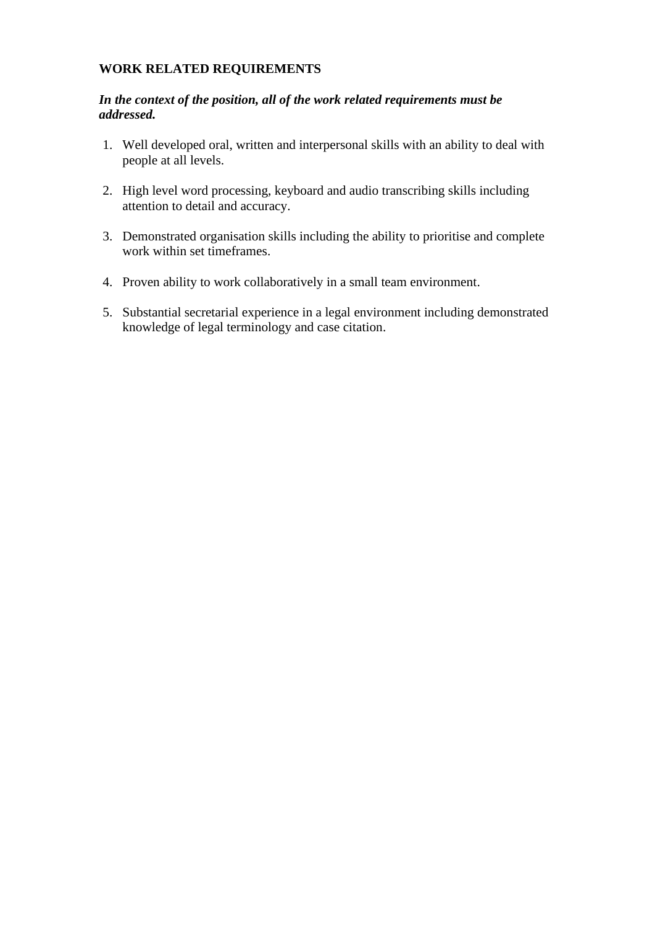# **WORK RELATED REQUIREMENTS**

## *In the context of the position, all of the work related requirements must be addressed.*

- 1. Well developed oral, written and interpersonal skills with an ability to deal with people at all levels.
- 2. High level word processing, keyboard and audio transcribing skills including attention to detail and accuracy.
- 3. Demonstrated organisation skills including the ability to prioritise and complete work within set timeframes.
- 4. Proven ability to work collaboratively in a small team environment.
- 5. Substantial secretarial experience in a legal environment including demonstrated knowledge of legal terminology and case citation.